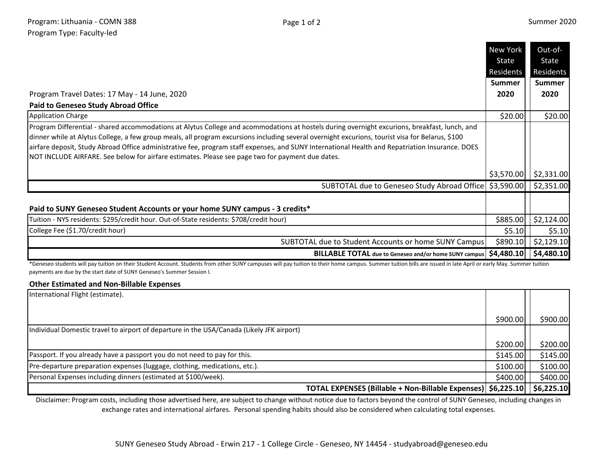**The State** 

|                                                                                                                                                                                                                                                                                                                                                                                                                                                                                                                                                          | New York      | Out-of-       |
|----------------------------------------------------------------------------------------------------------------------------------------------------------------------------------------------------------------------------------------------------------------------------------------------------------------------------------------------------------------------------------------------------------------------------------------------------------------------------------------------------------------------------------------------------------|---------------|---------------|
|                                                                                                                                                                                                                                                                                                                                                                                                                                                                                                                                                          | State         | State         |
|                                                                                                                                                                                                                                                                                                                                                                                                                                                                                                                                                          | Residents     | Residents     |
|                                                                                                                                                                                                                                                                                                                                                                                                                                                                                                                                                          | <b>Summer</b> | <b>Summer</b> |
| Program Travel Dates: 17 May - 14 June, 2020                                                                                                                                                                                                                                                                                                                                                                                                                                                                                                             | 2020          | 2020          |
| <b>Paid to Geneseo Study Abroad Office</b>                                                                                                                                                                                                                                                                                                                                                                                                                                                                                                               |               |               |
| <b>Application Charge</b>                                                                                                                                                                                                                                                                                                                                                                                                                                                                                                                                | \$20.00       | \$20.00]      |
| Program Differential - shared accommodations at Alytus College and acommodations at hostels during overnight excurions, breakfast, lunch, and<br>dinner while at Alytus College, a few group meals, all program excursions including several overnight excurions, tourist visa for Belarus, \$100<br>airfare deposit, Study Abroad Office administrative fee, program staff expenses, and SUNY International Health and Repatriation Insurance. DOES<br>NOT INCLUDE AIRFARE. See below for airfare estimates. Please see page two for payment due dates. |               |               |
|                                                                                                                                                                                                                                                                                                                                                                                                                                                                                                                                                          | \$3,570.00    | \$2,331.00    |
| SUBTOTAL due to Geneseo Study Abroad Office   \$3,590.00   \$2,351.00                                                                                                                                                                                                                                                                                                                                                                                                                                                                                    |               |               |
| Paid to SUNY Geneseo Student Accounts or your home SUNY campus - 3 credits*                                                                                                                                                                                                                                                                                                                                                                                                                                                                              |               |               |
| Tuition - NYS residents: \$295/credit hour. Out-of-State residents: \$708/credit hour)                                                                                                                                                                                                                                                                                                                                                                                                                                                                   | \$885.00      | \$2,124.00    |
| College Fee (\$1.70/credit hour)                                                                                                                                                                                                                                                                                                                                                                                                                                                                                                                         | \$5.10        | \$5.10        |
| SUBTOTAL due to Student Accounts or home SUNY Campus                                                                                                                                                                                                                                                                                                                                                                                                                                                                                                     | \$890.10      | \$2,129.10    |
| <b>BILLABLE TOTAL</b> due to Geneseo and/or home SUNY campus                                                                                                                                                                                                                                                                                                                                                                                                                                                                                             | \$4,480.10    | \$4,480.10    |

\*Geneseo students will pay tuition on their Student Account. Students from other SUNY campuses will pay tuition to their home campus. Summer tuition bills are issued in late April or early May. Summer tuition payments are due by the start date of SUNY Geneseo's Summer Session I.

## **Other Estimated and Non-Billable Expenses**

| International Flight (estimate).                                                          |           |            |
|-------------------------------------------------------------------------------------------|-----------|------------|
|                                                                                           | \$900.00  | \$900.00   |
| Individual Domestic travel to airport of departure in the USA/Canada (Likely JFK airport) |           |            |
|                                                                                           | \$200.00  | \$200.00   |
| Passport. If you already have a passport you do not need to pay for this.                 | \$145.00  | \$145.00   |
| Pre-departure preparation expenses (luggage, clothing, medications, etc.).                | \$100.00  | \$100.00   |
| Personal Expenses including dinners (estimated at \$100/week).                            | \$400.00] | \$400.00   |
| TOTAL EXPENSES (Billable + Non-Billable Expenses)   \$6,225.10                            |           | \$6,225.10 |

Disclaimer: Program costs, including those advertised here, are subject to change without notice due to factors beyond the control of SUNY Geneseo, including changes in exchange rates and international airfares. Personal spending habits should also be considered when calculating total expenses.